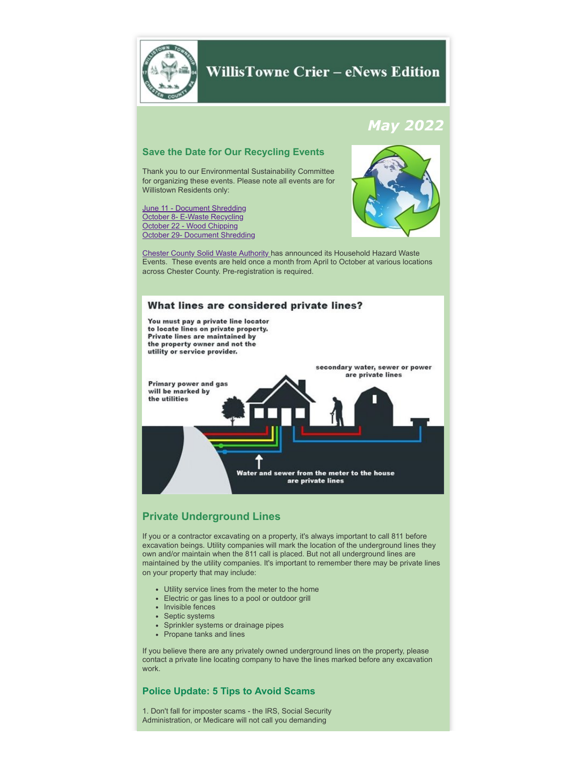

# **WillisTowne Crier - eNews Edition**

# *May 2022*

### **Save the Date for Our Recycling Events**

Thank you to our Environmental Sustainability Committee for organizing these events. Please note all events are for Willistown Residents only:

[June 11 - Document Shredding](https://www.willistown.pa.us/calendar.aspx?EID=1302) [October 8- E-Waste Recycling](https://www.willistown.pa.us/calendar.aspx?EID=1303) [October 22 - Wood Chipping](https://www.willistown.pa.us/calendar.aspx?EID=1308) [October 29-](https://www.willistown.pa.us/calendar.aspx?EID=1309) Document [Shredding](http://www.willistown.pa.us/calendar.aspx?EID=1309)

# [Chester County Solid Waste Authority](https://www.chestercountyswa.org/121/Upcoming-Household-Hazardous-Waste-Event) has announced its Household Hazard Waste

Events. These events are held once a month from April to October at various locations across Chester County. Pre-registration is required.



# **Private Underground Lines**

If you or a contractor excavating on a property, it's always important to call 811 before excavation beings. Utility companies will mark the location of the underground lines they own and/or maintain when the 811 call is placed. But not all underground lines are maintained by the utility companies. It's important to remember there may be private lines on your property that may include:

- Utility service lines from the meter to the home
- Electric or gas lines to a pool or outdoor grill
- Invisible fences
- Septic systems
- Sprinkler systems or drainage pipes
- Propane tanks and lines

If you believe there are any privately owned underground lines on the property, please contact a private line locating company to have the lines marked before any excavation work.

#### **Police Update: 5 Tips to Avoid Scams**

1. Don't fall for imposter scams - the IRS, Social Security Administration, or Medicare will not call you demanding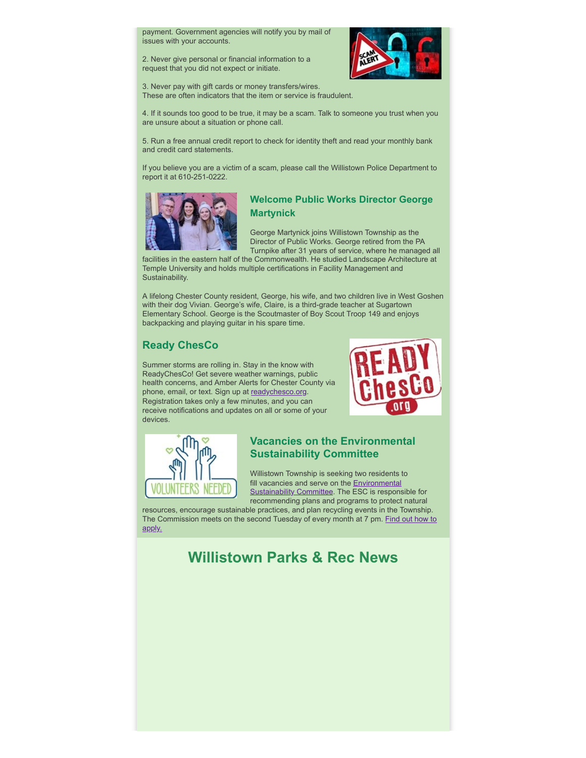payment. Government agencies will notify you by mail of issues with your accounts.

2. Never give personal or financial information to a request that you did not expect or initiate.



3. Never pay with gift cards or money transfers/wires. These are often indicators that the item or service is fraudulent.

4. If it sounds too good to be true, it may be a scam. Talk to someone you trust when you are unsure about a situation or phone call.

5. Run a free annual credit report to check for identity theft and read your monthly bank and credit card statements.

If you believe you are a victim of a scam, please call the Willistown Police Department to report it at 610-251-0222.



#### **Welcome Public Works Director George Martynick**

George Martynick joins Willistown Township as the Director of Public Works. George retired from the PA Turnpike after 31 years of service, where he managed all

facilities in the eastern half of the Commonwealth. He studied Landscape Architecture at Temple University and holds multiple certifications in Facility Management and Sustainability.

A lifelong Chester County resident, George, his wife, and two children live in West Goshen with their dog Vivian. George's wife, Claire, is a third-grade teacher at Sugartown Elementary School. George is the Scoutmaster of Boy Scout Troop 149 and enjoys backpacking and playing guitar in his spare time.

# **Ready ChesCo**

Summer storms are rolling in. Stay in the know with ReadyChesCo! Get severe weather warnings, public health concerns, and Amber Alerts for Chester County via phone, email, or text. Sign up at [readychesco.org.](http://readychesco.org/?fbclid=IwAR1qI70oap0ntxHjLxfsHLH8H9XQ93HhVU4--SIjWAKfy1zNSliKkHxyWyA) Registration takes only a few minutes, and you can receive notifications and updates on all or some of your devices.





# **Vacancies on the Environmental Sustainability Committee**

Willistown Township is seeking two residents to fill vacancies and serve on the **Environmental** [Sustainability Committee. The ESC is respons](https://www.willistown.pa.us/109/Environmental-Sustainability-Commission)ible for recommending plans and programs to protect natural

resources, encourage sustainable practices, and plan recycling events in the Township. [The Commission meets on the second Tuesday of every month at 7 pm.](https://www.willistown.pa.us/DocumentCenter/View/1868/Board-and-Commission-Volunteer-Position-Application) Find out how to apply.

# **Willistown Parks & Rec News**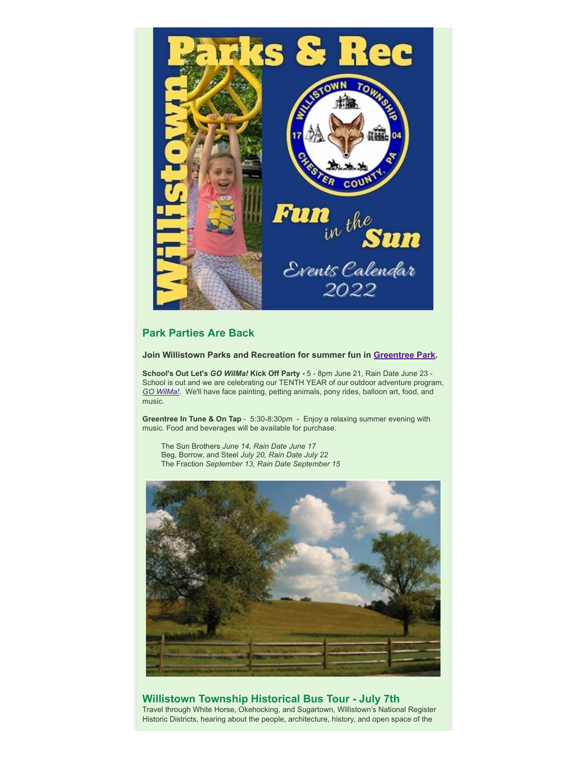

## **Park Parties Are Back**

**Join Willistown Parks and Recreation for summer fun in [Greentree Park](https://www.willistown.pa.us/facilities/facility/details/Greentree-Park-2).**

**School's Out Let's** *GO WilMa!* **Kick Off Party -** 5 - 8pm June 21, Rain Date June 23 - School is out and we are celebrating our TENTH YEAR of our outdoor adventure program, *GO [WilMa!](https://www.willistown.pa.us/172/GO-WilMa)*. We'll have face painting, petting animals, pony rides, balloon art, food, and music.

**Greentree In Tune & On Tap** - 5:30-8:30pm - Enjoy a relaxing summer evening with music. Food and beverages will be available for purchase.

The Sun Brothers *June 14, Rain Date June 17* Beg, Borrow, and Steel *July 20, Rain Date July 22* The Fraction *September 13, Rain Date September 15*



# **Willistown Township Historical Bus Tour - July 7th**

Travel through White Horse, Okehocking, and Sugartown, Willistown's National Register Historic Districts, hearing about the people, architecture, history, and open space of the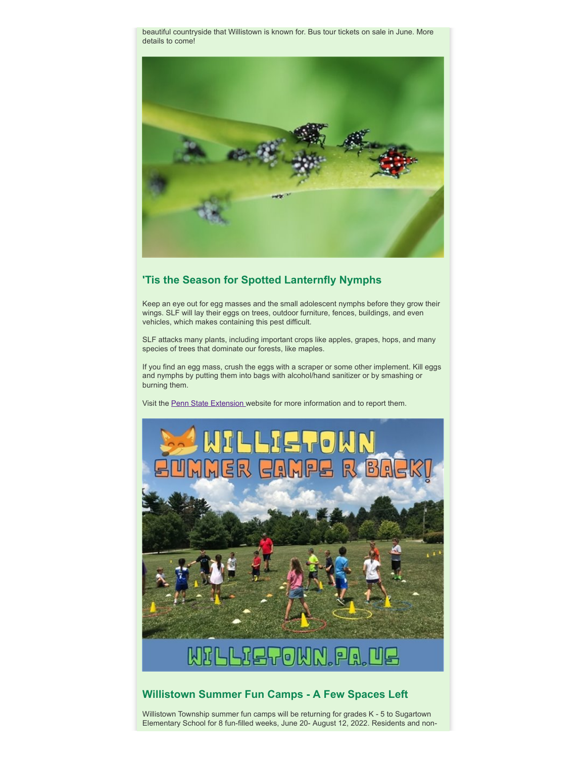beautiful countryside that Willistown is known for. Bus tour tickets on sale in June. More details to come!



# **'Tis the Season for Spotted Lanternfly Nymphs**

Keep an eye out for egg masses and the small adolescent nymphs before they grow their wings. SLF will lay their eggs on trees, outdoor furniture, fences, buildings, and even vehicles, which makes containing this pest difficult.

SLF attacks many plants, including important crops like apples, grapes, hops, and many species of trees that dominate our forests, like maples.

If you find an egg mass, crush the eggs with a scraper or some other implement. Kill eggs and nymphs by putting them into bags with alcohol/hand sanitizer or by smashing or burning them.

Visit the [Penn State Extension](https://extension.psu.edu/spotted-lanternfly) website for more information and to report them.



## **Willistown Summer Fun Camps - A Few Spaces Left**

Willistown Township summer fun camps will be returning for grades K - 5 to Sugartown Elementary School for 8 fun-filled weeks, June 20- August 12, 2022. Residents and non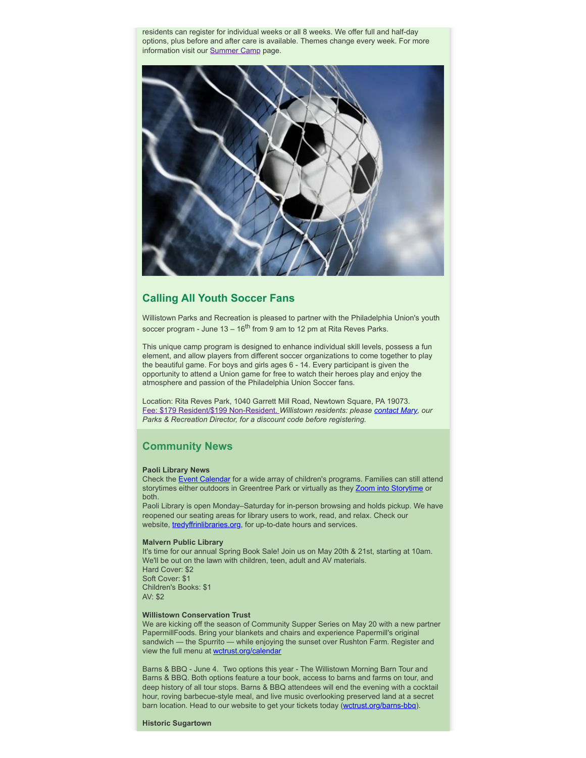residents can register for individual weeks or all 8 weeks. We offer full and half-day options, plus before and after care is available. Themes change every week. For more information visit our [Summer Camp](https://www.willistown.pa.us/264/Camps) page.



#### **Calling All Youth Soccer Fans**

Willistown Parks and Recreation is pleased to partner with the Philadelphia Union's youth soccer program - June 13 – 16<sup>th</sup> from 9 am to 12 pm at Rita Reves Parks.

This unique camp program is designed to enhance individual skill levels, possess a fun element, and allow players from different soccer organizations to come together to play the beautiful game. For boys and girls ages 6 - 14. Every participant is given the opportunity to attend a Union game for free to watch their heroes play and enjoy the atmosphere and passion of the Philadelphia Union Soccer fans.

Location: Rita Reves Park, 1040 Garrett Mill Road, Newtown Square, PA 19073. [Fee: \\$179 Resident/\\$199 Non-Resident.](https://philadelphiaunionyouth.sportngin.com/register/form/451121521#_ga=2.212143575.2140516588.1652724901-1328221176.1652724900) *Willistown residents: please [contact Mary](mailto:mhundt@willistown.pa.us?subject=Union%20Soccer%20Camp%20Discount%20Code%20Please), our Parks & Recreation Director, for a discount code before registering.*

#### **Community News**

#### **Paoli Library News**

Check the [Event Calendar](https://www.tredyffrinlibraries.org/virtual-calendar/) for a wide array of children's programs. Families can still attend storytimes either outdoors in Greentree Park or virtually as they [Zoom into Storytime](https://ccls.libcal.com/event/9130915) or both.

Paoli Library is open Monday–Saturday for in-person browsing and holds pickup. We have reopened our seating areas for library users to work, read, and relax. Check our website, [tredyffrinlibraries.org,](https://www.tredyffrinlibraries.org/hours-directions/) for up-to-date hours and services.

#### **Malvern Public Library**

It's time for our annual Spring Book Sale! Join us on May 20th & 21st, starting at 10am. We'll be out on the lawn with children, teen, adult and AV materials. Hard Cover: \$2 Soft Cover: \$1 Children's Books: \$1 AV: \$2

#### **Willistown Conservation Trust**

We are kicking off the season of Community Supper Series on May 20 with a new partner PapermillFoods. Bring your blankets and chairs and experience Papermill's original sandwich — the Spurrito — while enjoying the sunset over Rushton Farm. Register and view the full menu at [wctrust.org/calendar](http://wctrust.org/calendar?fbclid=IwAR3ADC8ZhDn-Kg6ldxYuIYIYk-ENyAZnhrxbMeai5YV_SS2m_ET7EyqGZNY)

Barns & BBQ - June 4. Two options this year - The Willistown Morning Barn Tour and Barns & BBQ. Both options feature a tour book, access to barns and farms on tour, and deep history of all tour stops. Barns & BBQ attendees will end the evening with a cocktail hour, roving barbecue-style meal, and live music overlooking preserved land at a secret barn location. Head to our website to get your tickets today ([wctrust.org/barns-bbq\)](https://l.facebook.com/l.php?u=http%3A%2F%2Fwctrust.org%2Fbarns-bbq%3Ffbclid%3DIwAR06Jr3kNuf3a3a3ufJyfxM6gANFsq3lWBrkWr_v9ZGv86TS5ynmSlve4TY&h=AT39XtD83e6tK83zdLIfdMdVu11sG67EF_mdOqjCQgKfOsPlzvyUQ-skeiYOHfeGqzZ9OR1NsVMIolwHfmp7zaHUAT_7x2raABcgZpJBccOWsJiQczCkv2ZF6QqAFWHk7Q&__tn__=-UK-R&c%5b0%5d=AT20vvfgUCJRRxDHTww3QdF8NvexLfpZCwHe55eOFcJTnVoJp06eOKVJRhMY1NyyvFqo7eeSJz6HiCLIqhNp2KO8fzL8ldC3EZzyqYkPEe46co-QTCoRk0L5_EkPV8DotraSo3Ip9EI_uYwH0Nu2S1FMeohf-BoF0a2RR0f643aadw).

**Historic Sugartown**